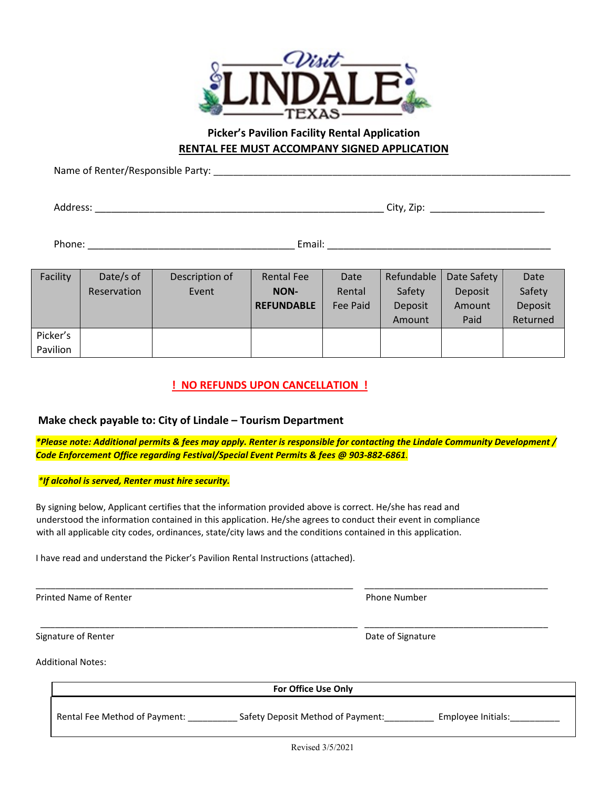

### **Picker's Pavilion Facility Rental Application RENTAL FEE MUST ACCOMPANY SIGNED APPLICATION**

Name of Renter/Responsible Party: \_\_\_\_\_\_\_\_\_\_\_\_\_\_\_\_\_\_\_\_\_\_\_\_\_\_\_\_\_\_\_\_\_\_\_\_\_\_\_\_\_\_\_\_\_\_\_\_\_\_\_\_\_\_\_\_\_\_\_\_\_\_\_\_\_\_\_\_\_\_\_\_

Address: \_\_\_\_\_\_\_\_\_\_\_\_\_\_\_\_\_\_\_\_\_\_\_\_\_\_\_\_\_\_\_\_\_\_\_\_\_\_\_\_\_\_\_\_\_\_\_\_\_\_\_\_\_ City, Zip: \_\_\_\_\_\_\_\_\_\_\_\_\_\_\_\_\_\_\_\_\_

Phone: \_\_\_\_\_\_\_\_\_\_\_\_\_\_\_\_\_\_\_\_\_\_\_\_\_\_\_\_\_\_\_\_\_\_\_\_\_\_ Email: \_\_\_\_\_\_\_\_\_\_\_\_\_\_\_\_\_\_\_\_\_\_\_\_\_\_\_\_\_\_\_\_\_\_\_\_\_\_\_\_\_

| Facility | Date/s of   | Description of | <b>Rental Fee</b> | Date     | Refundable | Date Safety | Date     |
|----------|-------------|----------------|-------------------|----------|------------|-------------|----------|
|          | Reservation | Event          | <b>NON-</b>       | Rental   | Safety     | Deposit     | Safety   |
|          |             |                | <b>REFUNDABLE</b> | Fee Paid | Deposit    | Amount      | Deposit  |
|          |             |                |                   |          | Amount     | Paid        | Returned |
| Picker's |             |                |                   |          |            |             |          |
| Pavilion |             |                |                   |          |            |             |          |

### **! NO REFUNDS UPON CANCELLATION !**

#### **Make check payable to: City of Lindale – Tourism Department**

*\*Please note: Additional permits & fees may apply. Renter is responsible for contacting the Lindale Community Development / Code Enforcement Office regarding Festival/Special Event Permits & fees @ 903-882-6861.*

\_\_\_\_\_\_\_\_\_\_\_\_\_\_\_\_\_\_\_\_\_\_\_\_\_\_\_\_\_\_\_\_\_\_\_\_\_\_\_\_\_\_\_\_\_\_\_\_\_\_\_\_\_\_\_\_\_\_\_\_\_\_\_\_ \_\_\_\_\_\_\_\_\_\_\_\_\_\_\_\_\_\_\_\_\_\_\_\_\_\_\_\_\_\_\_\_\_\_\_\_\_

\_\_\_\_\_\_\_\_\_\_\_\_\_\_\_\_\_\_\_\_\_\_\_\_\_\_\_\_\_\_\_\_\_\_\_\_\_\_\_\_\_\_\_\_\_\_\_\_\_\_\_\_\_\_\_\_\_\_\_\_\_\_\_\_ \_\_\_\_\_\_\_\_\_\_\_\_\_\_\_\_\_\_\_\_\_\_\_\_\_\_\_\_\_\_\_\_\_\_\_\_\_

#### *\*If alcohol is served, Renter must hire security.*

By signing below, Applicant certifies that the information provided above is correct. He/she has read and understood the information contained in this application. He/she agrees to conduct their event in compliance with all applicable city codes, ordinances, state/city laws and the conditions contained in this application.

I have read and understand the Picker's Pavilion Rental Instructions (attached).

Printed Name of Renter **Phone Number** Phone Number

Signature of Renter **Date of Signature**  $\Box$  Date of Signature

Additional Notes:

**For Office Use Only** 

Rental Fee Method of Payment: \_\_\_\_\_\_\_\_\_\_\_\_\_ Safety Deposit Method of Payment: \_\_\_\_\_\_\_\_\_\_ Employee Initials: \_\_\_\_\_\_\_\_\_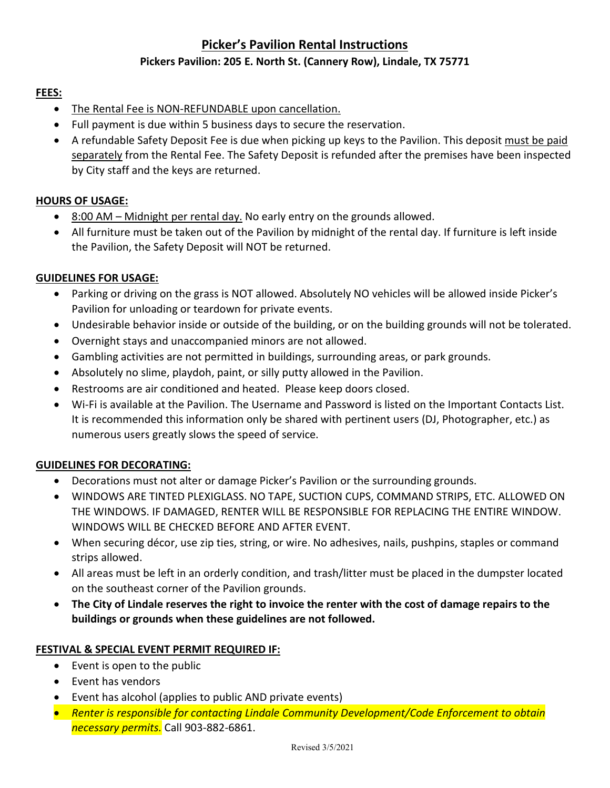## **Picker's Pavilion Rental Instructions**

### **Pickers Pavilion: 205 E. North St. (Cannery Row), Lindale, TX 75771**

#### **FEES:**

- The Rental Fee is NON-REFUNDABLE upon cancellation.
- Full payment is due within 5 business days to secure the reservation.
- A refundable Safety Deposit Fee is due when picking up keys to the Pavilion. This deposit must be paid separately from the Rental Fee. The Safety Deposit is refunded after the premises have been inspected by City staff and the keys are returned.

### **HOURS OF USAGE:**

- 8:00 AM Midnight per rental day. No early entry on the grounds allowed.
- All furniture must be taken out of the Pavilion by midnight of the rental day. If furniture is left inside the Pavilion, the Safety Deposit will NOT be returned.

#### **GUIDELINES FOR USAGE:**

- Parking or driving on the grass is NOT allowed. Absolutely NO vehicles will be allowed inside Picker's Pavilion for unloading or teardown for private events.
- Undesirable behavior inside or outside of the building, or on the building grounds will not be tolerated.
- Overnight stays and unaccompanied minors are not allowed.
- Gambling activities are not permitted in buildings, surrounding areas, or park grounds.
- Absolutely no slime, playdoh, paint, or silly putty allowed in the Pavilion.
- Restrooms are air conditioned and heated. Please keep doors closed.
- Wi-Fi is available at the Pavilion. The Username and Password is listed on the Important Contacts List. It is recommended this information only be shared with pertinent users (DJ, Photographer, etc.) as numerous users greatly slows the speed of service.

### **GUIDELINES FOR DECORATING:**

- Decorations must not alter or damage Picker's Pavilion or the surrounding grounds.
- WINDOWS ARE TINTED PLEXIGLASS. NO TAPE, SUCTION CUPS, COMMAND STRIPS, ETC. ALLOWED ON THE WINDOWS. IF DAMAGED, RENTER WILL BE RESPONSIBLE FOR REPLACING THE ENTIRE WINDOW. WINDOWS WILL BE CHECKED BEFORE AND AFTER EVENT.
- When securing décor, use zip ties, string, or wire. No adhesives, nails, pushpins, staples or command strips allowed.
- All areas must be left in an orderly condition, and trash/litter must be placed in the dumpster located on the southeast corner of the Pavilion grounds.
- **The City of Lindale reserves the right to invoice the renter with the cost of damage repairs to the buildings or grounds when these guidelines are not followed.**

#### **FESTIVAL & SPECIAL EVENT PERMIT REQUIRED IF:**

- Event is open to the public
- Event has vendors
- Event has alcohol (applies to public AND private events)
- *Renter is responsible for contacting Lindale Community Development/Code Enforcement to obtain necessary permits.* Call 903-882-6861.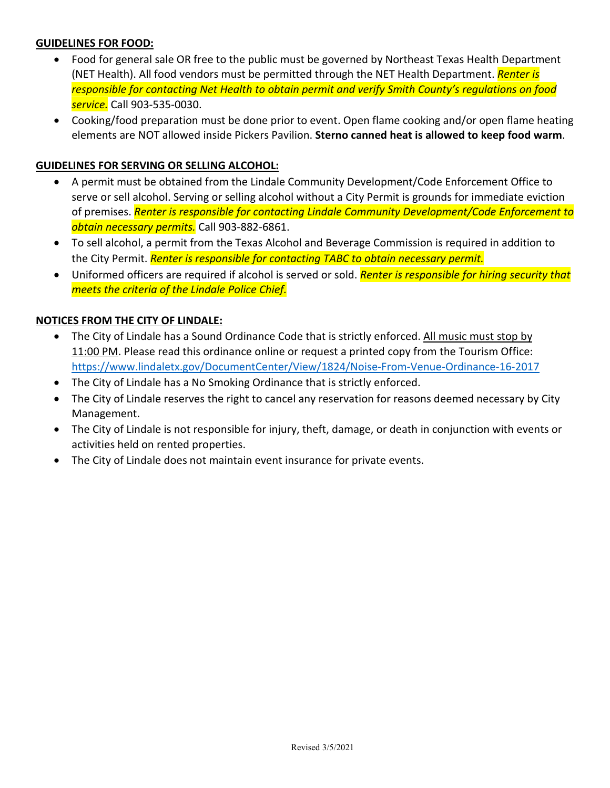### **GUIDELINES FOR FOOD:**

- Food for general sale OR free to the public must be governed by Northeast Texas Health Department (NET Health). All food vendors must be permitted through the NET Health Department. *Renter is responsible for contacting Net Health to obtain permit and verify Smith County's regulations on food service.* Call 903-535-0030.
- Cooking/food preparation must be done prior to event. Open flame cooking and/or open flame heating elements are NOT allowed inside Pickers Pavilion. **Sterno canned heat is allowed to keep food warm**.

#### **GUIDELINES FOR SERVING OR SELLING ALCOHOL:**

- A permit must be obtained from the Lindale Community Development/Code Enforcement Office to serve or sell alcohol. Serving or selling alcohol without a City Permit is grounds for immediate eviction of premises. *Renter is responsible for contacting Lindale Community Development/Code Enforcement to obtain necessary permits.* Call 903-882-6861.
- To sell alcohol, a permit from the Texas Alcohol and Beverage Commission is required in addition to the City Permit. *Renter is responsible for contacting TABC to obtain necessary permit.*
- Uniformed officers are required if alcohol is served or sold. *Renter is responsible for hiring security that meets the criteria of the Lindale Police Chief.*

#### **NOTICES FROM THE CITY OF LINDALE:**

- The City of Lindale has a Sound Ordinance Code that is strictly enforced. All music must stop by 11:00 PM. Please read this ordinance online or request a printed copy from the Tourism Office: <https://www.lindaletx.gov/DocumentCenter/View/1824/Noise-From-Venue-Ordinance-16-2017>
- The City of Lindale has a No Smoking Ordinance that is strictly enforced.
- The City of Lindale reserves the right to cancel any reservation for reasons deemed necessary by City Management.
- The City of Lindale is not responsible for injury, theft, damage, or death in conjunction with events or activities held on rented properties.
- The City of Lindale does not maintain event insurance for private events.